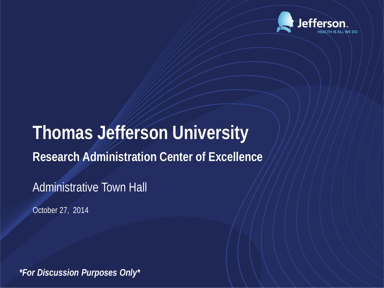

## **Thomas Jefferson University Research Administration Center of Excellence**

Administrative Town Hall

October 27, 2014

*\*For Discussion Purposes Only\**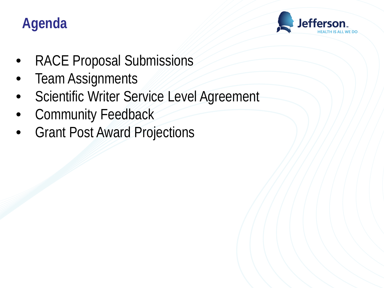## **Agenda**



- RACE Proposal Submissions
- **Team Assignments**
- Scientific Writer Service Level Agreement
- Community Feedback
- **Grant Post Award Projections**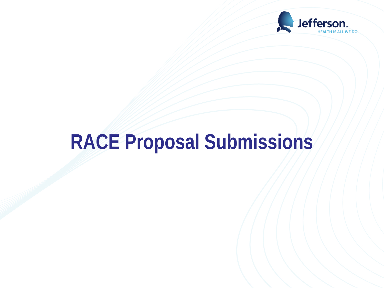

# **RACE Proposal Submissions**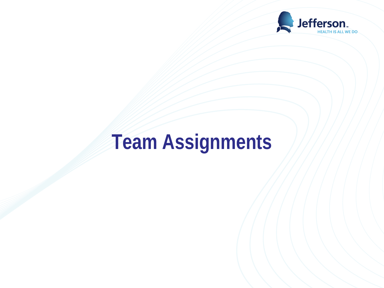

## **Team Assignments**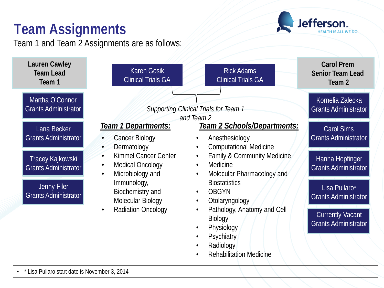## **Team Assignments**

Team 1 and Team 2 Assignments are as follows:



Jefferson.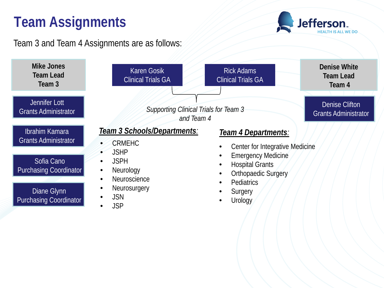## **Team Assignments**

Team 3 and Team 4 Assignments are as follows:



**Jefferson**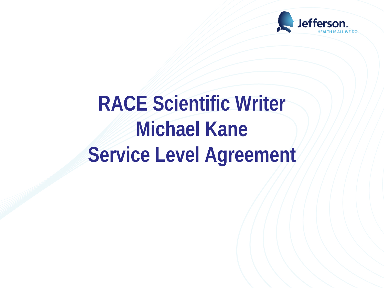

## **RACE Scientific Writer Michael Kane Service Level Agreement**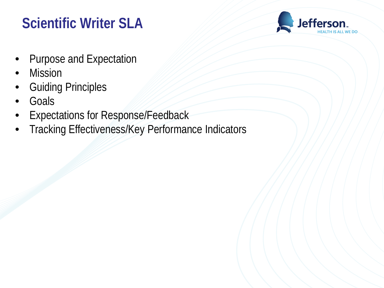## **Scientific Writer SLA**



- Purpose and Expectation
- **Mission**
- Guiding Principles
- Goals
- Expectations for Response/Feedback
- Tracking Effectiveness/Key Performance Indicators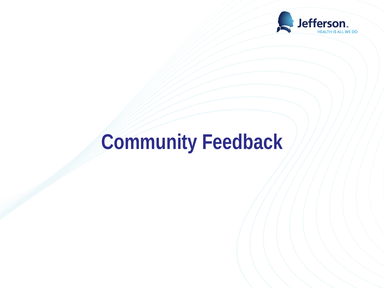

## **Community Feedback**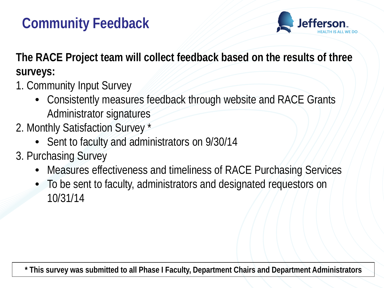### **Community Feedback**



**The RACE Project team will collect feedback based on the results of three surveys:**

- 1. Community Input Survey
	- Consistently measures feedback through website and RACE Grants Administrator signatures
- 2. Monthly Satisfaction Survey \*
	- Sent to faculty and administrators on 9/30/14
- 3. Purchasing Survey
	- Measures effectiveness and timeliness of RACE Purchasing Services
	- To be sent to faculty, administrators and designated requestors on 10/31/14

**\* This survey was submitted to all Phase I Faculty, Department Chairs and Department Administrators**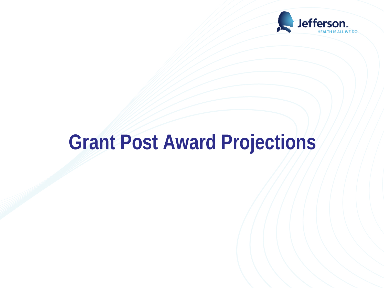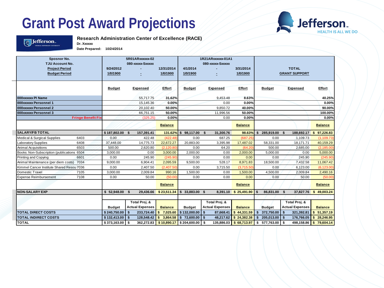

#### Jefferson.

**Research Administration Center of Excellence (RACE)**

**Dr. Xxxxxx Date Prepared: 10/24/2014**

| Sposnor No.<br><b>TJU Account No.</b>       |                   | 5R01ARxxxxxx-02<br>080-xxxxx-Sxxxxx |                          |                              | 1R21ARxxxxxx-01A1<br>080-xxxxx-Sxxxxx |                |                                     |                                  |                        |
|---------------------------------------------|-------------------|-------------------------------------|--------------------------|------------------------------|---------------------------------------|----------------|-------------------------------------|----------------------------------|------------------------|
| <b>Project Period</b>                       | 9/24/2012         |                                     | 12/31/2014               | 4/1/2014                     |                                       | 3/31/2014      |                                     | <b>TOTAL</b>                     |                        |
| <b>Budget Period</b>                        | 1/0/1900          | ÷.                                  | 1/0/1900                 | 1/0/1900                     | ÷.                                    | 1/0/1900       |                                     | <b>GRANT SUPPORT</b>             |                        |
|                                             | <b>Budget</b>     | Expensed                            | <b>Effort</b>            | <b>Budget</b>                | Expensed                              | Effort         | <b>Budget</b>                       | Expensed                         | Effort                 |
| 000xxxxxx PI Name                           |                   | 55,717.75                           | 31.62%                   |                              | 9,453.48                              | 8.63%          |                                     |                                  | 40.25%                 |
| 000xxxxxx Personnel 1                       |                   | 15,145.36                           | 0.00%                    |                              | 0.00                                  | 0.00%          |                                     |                                  | 0.00%                  |
| 000xxxxxx Personnel 2                       |                   | 20,102.40                           | 50.00%                   |                              | 9,850.72                              | 40.00%         |                                     |                                  | 90.00%                 |
| 000xxxxxx Personnel 3                       |                   | 66,751.15                           | 50.00%                   |                              | 11,996.56                             | 50.00%         |                                     |                                  | 100.00%                |
| <b>Fringe Benefit Fix</b>                   |                   | (325.25)                            | 0.00%                    |                              | 0.00                                  | 0.00%          |                                     |                                  | 0.00%                  |
|                                             |                   |                                     | <b>Balance</b>           |                              |                                       | <b>Balance</b> |                                     |                                  | <b>Balance</b>         |
| <b>SALARY/FB TOTAL</b>                      | \$187,802.00 \$   | 157,391.41                          | 131.62%                  | $$98,117.00$ \$              | 31,300.76                             | 98.63%         | $\mathbf{\hat{S}}$<br>285,919.00 \$ | 188,692.17                       | \$97,226.83            |
| 6403<br>Medical & Surgical Supplies         | 0.00              | 422.48                              | (422.48)                 | 0.00                         | 687.25                                | (687.25        | 0.00                                | 1,109.73                         | (1, 109.73)            |
| 6408<br>Laboratory Supplies                 | 37.448.00         | 14,775.73                           | 22,672.27                | 20.883.00                    | 3,395.98                              | 17,487.02      | 58,331.00                           | 18.171.71                        | 40,159.29              |
| 6503<br>Animal Acquisitions                 | 500.00            | 2,620.80                            | (2,120.80)               | 0.00                         | 64.20                                 | (64.20)        | 500.00                              | 2,685.00                         | (2, 185.00)            |
| Books: Non-Subscription (publications 6504  | 3,000.00          | 0.00                                | 3,000.00                 | 2,000.00                     | 0.00                                  | 2,000.00       | 5,000.00                            | 0.00                             | 5,000.00               |
| 6601<br>Printing and Copying                | 0.00              | 245.90                              | (245.90)                 | 0.00                         | 0.00                                  | 0.00           | 0.00                                | 245.90                           | (245.90)               |
| Animal Maintenance (per diem costs)<br>7034 | 9,000.00          | 6,904.41                            | 2,095.59                 | 9,500.00                     | 528.17                                | 8,971.83       | 18,500.00                           | 7,432.58                         | 11,067.42              |
| Kimmel Cancer Institute Shared Resou 7036   | 0.00              | 2,407.50                            | (2,407.50)               | 0.00                         | 3,715.50                              | (3,715.50)     | 0.00                                | 6,123.00                         | (6, 123.00)            |
| Domestic Travel<br>7105                     | 3,000.00          | 2,009.84                            | 990.16                   | 1,500.00                     | 0.00                                  | 1,500.00       | 4,500.00                            | 2,009.84                         | 2,490.16               |
| 7108<br><b>Expense Reimbursement</b>        | 0.00              | 50.00                               | (50.00)                  | 0.00                         | 0.00                                  | 0.00           | 0.00                                | 50.00                            | (50.00)                |
|                                             |                   |                                     | <b>Balance</b>           |                              |                                       | <b>Balance</b> |                                     |                                  | <b>Balance</b>         |
| <b>NON-SALARY EXP</b>                       | $$52,948.00$ \$   | 29,436.66                           | \$23,511.34              | 33,883.00 \$<br>$\mathbf{s}$ | 8,391.10                              | \$25,491.90    | 86,831.00 \$<br>$\mathbf{s}$        | 37,827.76                        | \$49,003.24            |
|                                             |                   |                                     |                          |                              |                                       |                |                                     |                                  |                        |
|                                             |                   | Total Proj. &                       |                          |                              | Total Proj. &                         |                |                                     | Total Proj. &                    |                        |
|                                             | <b>Budget</b>     | <b>Actual Expenses</b>              | <b>Balance</b>           | <b>Budget</b>                | <b>Actual Expenses</b>                | <b>Balance</b> | <b>Budget</b>                       | <b>Actual Expenses</b>           | <b>Balance</b>         |
| <b>TOTAL DIRECT COSTS</b>                   | \$240,750.00      | $\mathbf{s}$<br>233,724.40          | 7,025.60<br>\$           | \$132,000.00                 | $\overline{\mathbf{3}}$<br>87,668.41  | \$44,331.59    | $\mathbf{s}$<br>372,750.00          | $\mathbf{\hat{S}}$<br>321,392.81 | \$51,357.19            |
| <b>TOTAL INDIRECT COSTS</b>                 | $$132,413.00$ \\$ | 128,548.42                          | 3.864.58<br>$\mathbf{s}$ | \$72,600.00                  | l \$<br>48,217.62                     | \$24,382.38    | \$<br>205,013.00                    | l \$<br>176,766.05               | \$28,246.95            |
| <b>TOTAL</b>                                | $$373,163.00$ \$  |                                     | $362,272.83$ \$10,890.17 | \$204,600.00                 | 135,886.03<br>$\mathbf{s}$            | \$68,713.97    | 577,763.00<br>\$                    | $\mathsf{s}$                     | 498,158.86 \$79,604.14 |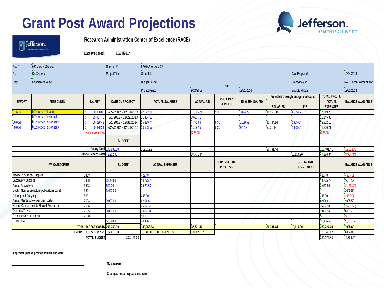



**Research Administration Center of Excellence (RACE)**

**Date Prepared: 10/24/2014**

| $Acct$ #:                                                        | 080-XXXXX-SXXXXX      |                                 | Sponsor #:             | 5R01ARxxxxxx-02              |                   |                                      |                       |                                    |                               |                                           |                                 |
|------------------------------------------------------------------|-----------------------|---------------------------------|------------------------|------------------------------|-------------------|--------------------------------------|-----------------------|------------------------------------|-------------------------------|-------------------------------------------|---------------------------------|
| Pl:                                                              | Dr. Xxxxxx            |                                 | Project Title:         | <b>Grant Title</b>           |                   |                                      |                       |                                    | Date Prepared:                |                                           | 10/24/2014                      |
| Dept:                                                            | Department Name       |                                 |                        | <b>Budget Period:</b>        |                   | thru                                 |                       |                                    | <b>Grant Analyst:</b>         |                                           | <b>RACE Grant Administrator</b> |
|                                                                  |                       |                                 |                        | Project Period:              | 9/24/2012         |                                      | 72/31/2014            |                                    | <b>Grant End Date</b>         |                                           | 12/31/2014                      |
| <b>EFFORT</b>                                                    | <b>PERSONNEL</b>      | SALARY                          | <b>DATE ON PROJECT</b> | <b>ACTUAL SALARIES</b>       | <b>ACTUAL F/B</b> | PROJ. PAY<br><b>PERIODS</b>          | <b>BI-WEEK SALARY</b> | Projected through budget end date: |                               | <b>TOTAL PROJ. &amp;</b><br><b>ACTUAL</b> | <b>BALANCE AVAILABLE</b>        |
|                                                                  |                       |                                 |                        |                              |                   |                                      |                       | <b>SALARIES</b>                    | F/B                           | <b>EXPENSES</b>                           |                                 |
| 31.62%                                                           | 000xxxxxx PI Name     | 150,000.00                      | 9/22/2012 - 12/31/2014 | 42,172.01                    | 13,545.74         | 9.30                                 | 1,824.29              | 16,965.88                          | 4,665.62                      | 77,349.25                                 |                                 |
|                                                                  | 000xxxxxx Personnel 1 | 35,007.7                        | 6/1/2013 - 11/29/2013  | 11,464.65                    | 3.680.71          |                                      |                       |                                    |                               | 15,145.36                                 |                                 |
| 50.00%                                                           | 000xxxxxx Personnel 2 | 60,298.42                       | 6/1/2013 - 12/31/2014  | 15,329.74                    | 4,772.66          | 9.30                                 | 1,159.59              | 10,784.14                          | 2,965.64                      | 33,852.18                                 |                                 |
| 50.00%                                                           | 000xxxxxx Personnel 3 | 50,498.24                       | 9/22/2012 - 12/31/2014 | 50,653.57                    | 16,097.58         | 9.30                                 | 971.12                | 9,031.42                           | 2,483.64                      | 78,266.21                                 |                                 |
|                                                                  |                       | <b>Fringe Benefit Fi</b>        |                        |                              | 325.25)           |                                      |                       |                                    |                               | (325.25)                                  |                                 |
|                                                                  |                       |                                 | <b>BUDGET</b>          |                              |                   |                                      |                       |                                    |                               |                                           |                                 |
| Salary Total 143,880.00                                          |                       |                                 |                        | 119,619.97                   |                   |                                      |                       | 36,781.44                          |                               | 156,401.41                                | (12,521.41)                     |
| Fringe Benefit Total 43,922.00                                   |                       |                                 |                        | 37,771.44                    |                   |                                      |                       | 10,114.90                          | 47,886.34                     | 3,964.34)                                 |                                 |
|                                                                  | A/P CATEGORIES        |                                 | <b>BUDGET</b>          | <b>ACTUAL EXPENSES</b>       |                   | <b>EXPENSES IN</b><br><b>PROCESS</b> |                       |                                    | SUBAWARD<br><b>COMMITMENT</b> |                                           | <b>BALANCE AVAILABLE</b>        |
| Medical & Surgical Supplies                                      |                       | 6403                            |                        | 422.48                       |                   |                                      |                       |                                    |                               | 422.48                                    | (422.48)                        |
| Laboratory Supplies                                              |                       | 6408                            | 37,448.00              | 14,775.73                    |                   |                                      |                       |                                    |                               | 14,775.73                                 | 22,672.27                       |
| Animal Acquisitions                                              |                       | 6503                            | 500.00                 | 2,620.80                     |                   |                                      |                       |                                    |                               | 2,620.80                                  | (2.120.80)                      |
| Books: Non-Subscription (publications costs)<br>6504<br>3,000.00 |                       |                                 |                        |                              |                   |                                      |                       |                                    | 3,000.00                      |                                           |                                 |
| 6601<br>Printing and Copying                                     |                       |                                 | 245.90                 |                              |                   |                                      |                       |                                    | 245.90                        | (245.90)                                  |                                 |
| Animal Maintenance (per diem costs)<br>9,000.00<br>7034          |                       |                                 | 6,904.41               |                              |                   |                                      |                       |                                    | 6,904.41                      | 2,095.59                                  |                                 |
| Kimmel Cancer Institute Shared Resources<br>7036                 |                       |                                 | 2.407.50               |                              |                   |                                      |                       |                                    | 2,407.50                      | (2.407.50)                                |                                 |
| Domestic Travel<br>7105<br>3,000.00                              |                       | 2,009.84                        |                        |                              |                   |                                      |                       | 2,009.84                           | 990.16                        |                                           |                                 |
| <b>Expense Reimbursement</b>                                     |                       | 7108                            |                        | 50.00                        |                   |                                      |                       |                                    |                               | 50.00                                     | (50.00)                         |
| <b>SUBTOTAL</b>                                                  |                       |                                 | 52,948.00              | 29,436.66                    |                   |                                      |                       |                                    |                               | 29,436.66                                 | 23,511.34                       |
|                                                                  |                       | TOTAL DIRECT COSTS 240,750.00   |                        | 149,056.63                   | 37,771.44         |                                      |                       | 36,781.44                          | 10,114.90                     | 233,724.40                                | 7,025.60                        |
|                                                                  |                       | INDIRECT COSTS @ 55% 132,413.00 |                        | <b>TOTAL ACTUAL EXPENSES</b> | 186,828.07        |                                      |                       |                                    |                               | 128,548.42                                | 3,864.08                        |
|                                                                  |                       | <b>TOTAL BUDGET</b>             | 373,163.00             |                              |                   |                                      |                       |                                    |                               | 362,272.83                                | 10,889.67                       |
|                                                                  |                       |                                 |                        |                              |                   |                                      |                       |                                    |                               |                                           |                                 |

**Approval (please provide initials and date)**

 **No changes**

 **Changes noted; update and return**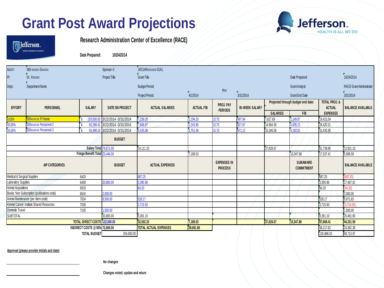

| <b>R</b> efferson.         |
|----------------------------|
| THOMAS REFERSON UNIVERSITY |

**Research Administration Center of Excellence (RACE)**

**Date Prepared: 10/24/2014**

| Acct#:                      | 080-XXXXX-SXXXXX                             |                                | Sponsor #:                     | 1R21ARxxxxxx-01A1            |                   |                                      |                       |                                    |                               |                                           |                          |
|-----------------------------|----------------------------------------------|--------------------------------|--------------------------------|------------------------------|-------------------|--------------------------------------|-----------------------|------------------------------------|-------------------------------|-------------------------------------------|--------------------------|
| PI:                         | Dr. Xxxxxx                                   |                                | Project Title:                 | Grant Title                  |                   |                                      |                       |                                    | Date Prepared:                |                                           | 10/24/2014               |
| Dept:                       | Department Name                              |                                |                                | <b>Budget Period:</b>        |                   |                                      |                       | <b>Grant Analyst</b>               |                               |                                           | RACE Grant Administrator |
|                             |                                              |                                |                                | Project Period:              | 4/1/2014          | thru                                 | 3/31/2014             |                                    | <b>Grant End Date</b>         |                                           | 3/31/2014                |
| <b>EFFORT</b>               | PERSONNEL                                    | SALARY                         | DATE ON PROJECT                | ACTUAL SALARIES              | <b>ACTUAL F/B</b> | PROJ. PAY<br><b>PERIODS</b>          | <b>BI-WEEK SALARY</b> | Projected through budget end date: |                               | <b>TOTAL PROJ. &amp;</b><br><b>ACTUAL</b> | <b>BALANCE AVAILABLE</b> |
|                             |                                              |                                |                                |                              |                   |                                      |                       | <b>SALARIES</b>                    | F/B                           | <b>EXPENSES</b>                           |                          |
| 3.63%                       | 000xxxxxx PI Name                            | 150,000.00                     | 3/22/2014 - 3/31/2014          | 7,259.28                     | 2.194.20          | 15.70                                | 497.94                | 7,817.69                           | 2.149.87                      | 19.421.04                                 |                          |
| 40.00%                      | 000xxxxxx Personnel 2                        |                                | 60,298.42 3/22/2014 -3/31/2014 | 7,606.87                     | 2,243.85          | 15.70                                | 927.67                | 14,564.39                          | 4,005.21                      | 28,420.31                                 |                          |
| 50.00%                      | 000xxxxxx Personnel 3                        |                                | 50,498.24 3/22/2014 -3/31/2014 | 9,245.08                     | 2,751.48          | 15.70                                | 971.12                | 15,246.58                          | 4,192.81                      | 31,435.95                                 |                          |
|                             |                                              |                                | <b>BUDGET</b>                  |                              |                   |                                      |                       |                                    |                               |                                           |                          |
|                             |                                              | <b>Salary Total 74,671.00</b>  |                                | 24,111.23                    |                   |                                      |                       | 37,628.67                          |                               | 61,739.90                                 | 12,931.10                |
|                             |                                              | Fringe Benefit Total 23,446.00 |                                |                              | 7.189.53          |                                      |                       |                                    | 10.347.88                     | 17.537.41                                 | 5.908.59                 |
|                             | A/P CATEGORIES                               |                                | <b>BUDGET</b>                  | <b>ACTUAL EXPENSES</b>       |                   | <b>EXPENSES IN</b><br><b>PROCESS</b> |                       |                                    | SUBAWARD<br><b>COMMITMENT</b> |                                           | <b>BALANCE AVAILABLE</b> |
| Medical & Surgical Supplies |                                              | 6403                           |                                | 687.25                       |                   |                                      |                       |                                    |                               | 687.25                                    | (687.25)                 |
| Laboratory Supplies         |                                              | 6408                           | 20,883.00                      | 3,395.98                     |                   |                                      |                       |                                    |                               | 3,395.98                                  | 17,487.02                |
| Animal Acquisitions         |                                              | 6503                           |                                | 64.20                        |                   |                                      |                       |                                    |                               | 64.20                                     | (64.20)                  |
|                             | Books: Non-Subscription (publications costs) | 6504                           | 2.000.00                       |                              |                   |                                      |                       |                                    |                               |                                           | 2.000.00                 |
|                             | Animal Maintenance (per diem costs)          | 7034                           | 9,500.00                       | 528.17                       |                   |                                      |                       |                                    |                               | 528.17                                    | 8,971.83                 |
|                             | Kimmel Cancer Institute Shared Resources     | 7036                           |                                | 3.715.50                     |                   |                                      |                       |                                    |                               | 3.715.50                                  | (3.715.50)               |
| Domestic Travel             |                                              | 7105                           | 1,500.00                       |                              |                   |                                      |                       |                                    |                               |                                           | 1,500.00                 |
| <b>SUBTOTAL</b>             |                                              |                                | 33,883.00                      | 8,391.10                     |                   |                                      |                       |                                    |                               | 8,391.10                                  | 25,491.90                |
|                             |                                              | TOTAL DIRECT COSTS 132,000.00  |                                | 32.502.33                    | 7,189.53          |                                      |                       | 37,628.67                          | 10,347.88                     | 87,668.41                                 | 44,331.59                |
|                             |                                              | INDIRECT COSTS @ 55% 72,600.00 |                                | <b>TOTAL ACTUAL EXPENSES</b> | 39,691.86         |                                      |                       |                                    |                               | 48,217.62                                 | 24,382.38                |
|                             |                                              | <b>TOTAL BUDGET</b>            | 204,600.00                     |                              |                   |                                      |                       |                                    |                               | 135,886.03                                | 68,713.97                |

**Approval (please provide initials and date)**

 **No changes**

 **Changes noted; update and return**